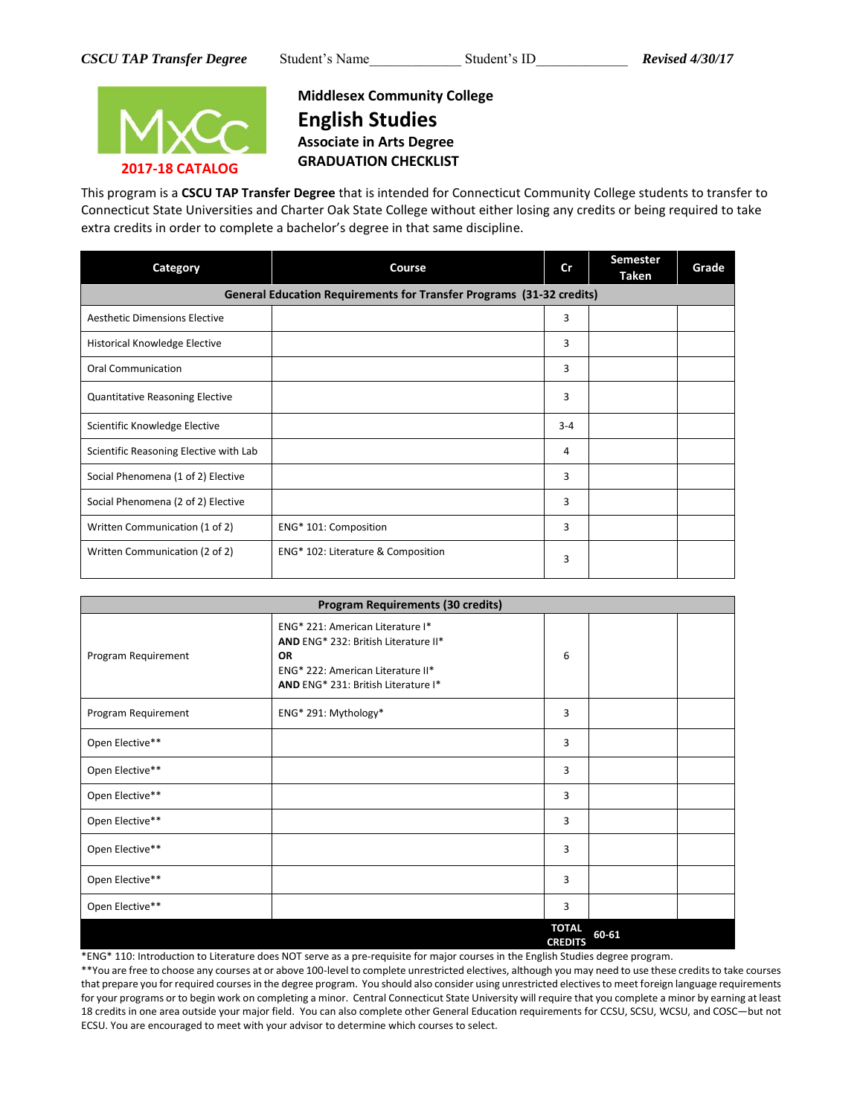

## **Middlesex Community College English Studies Associate in Arts Degree GRADUATION CHECKLIST**

This program is a **CSCU TAP Transfer Degree** that is intended for Connecticut Community College students to transfer to Connecticut State Universities and Charter Oak State College without either losing any credits or being required to take extra credits in order to complete a bachelor's degree in that same discipline.

| Category                                                             | Course                             | cr      | <b>Semester</b><br>Taken | Grade |  |  |  |
|----------------------------------------------------------------------|------------------------------------|---------|--------------------------|-------|--|--|--|
| General Education Requirements for Transfer Programs (31-32 credits) |                                    |         |                          |       |  |  |  |
| <b>Aesthetic Dimensions Elective</b>                                 |                                    | 3       |                          |       |  |  |  |
| Historical Knowledge Elective                                        |                                    | 3       |                          |       |  |  |  |
| <b>Oral Communication</b>                                            |                                    | 3       |                          |       |  |  |  |
| <b>Quantitative Reasoning Elective</b>                               |                                    | 3       |                          |       |  |  |  |
| Scientific Knowledge Elective                                        |                                    | $3 - 4$ |                          |       |  |  |  |
| Scientific Reasoning Elective with Lab                               |                                    | 4       |                          |       |  |  |  |
| Social Phenomena (1 of 2) Elective                                   |                                    | 3       |                          |       |  |  |  |
| Social Phenomena (2 of 2) Elective                                   |                                    | 3       |                          |       |  |  |  |
| Written Communication (1 of 2)                                       | ENG* 101: Composition              | 3       |                          |       |  |  |  |
| Written Communication (2 of 2)                                       | ENG* 102: Literature & Composition | 3       |                          |       |  |  |  |

| <b>Program Requirements (30 credits)</b> |                                                                                                                                                                   |                                |       |  |  |  |
|------------------------------------------|-------------------------------------------------------------------------------------------------------------------------------------------------------------------|--------------------------------|-------|--|--|--|
| Program Requirement                      | ENG* 221: American Literature I*<br>AND ENG* 232: British Literature II*<br><b>OR</b><br>ENG* 222: American Literature II*<br>AND ENG* 231: British Literature I* | 6                              |       |  |  |  |
| Program Requirement                      | ENG* 291: Mythology*                                                                                                                                              | 3                              |       |  |  |  |
| Open Elective**                          |                                                                                                                                                                   | 3                              |       |  |  |  |
| Open Elective**                          |                                                                                                                                                                   | 3                              |       |  |  |  |
| Open Elective**                          |                                                                                                                                                                   | 3                              |       |  |  |  |
| Open Elective**                          |                                                                                                                                                                   | 3                              |       |  |  |  |
| Open Elective**                          |                                                                                                                                                                   | 3                              |       |  |  |  |
| Open Elective**                          |                                                                                                                                                                   | 3                              |       |  |  |  |
| Open Elective**                          |                                                                                                                                                                   | 3                              |       |  |  |  |
|                                          |                                                                                                                                                                   | <b>TOTAL</b><br><b>CREDITS</b> | 60-61 |  |  |  |

\*ENG\* 110: Introduction to Literature does NOT serve as a pre-requisite for major courses in the English Studies degree program.

\*\*You are free to choose any courses at or above 100-level to complete unrestricted electives, although you may need to use these credits to take courses that prepare you for required courses in the degree program. You should also consider using unrestricted electives to meet foreign language requirements for your programs or to begin work on completing a minor. Central Connecticut State University will require that you complete a minor by earning at least 18 credits in one area outside your major field. You can also complete other General Education requirements for CCSU, SCSU, WCSU, and COSC—but not ECSU. You are encouraged to meet with your advisor to determine which courses to select.